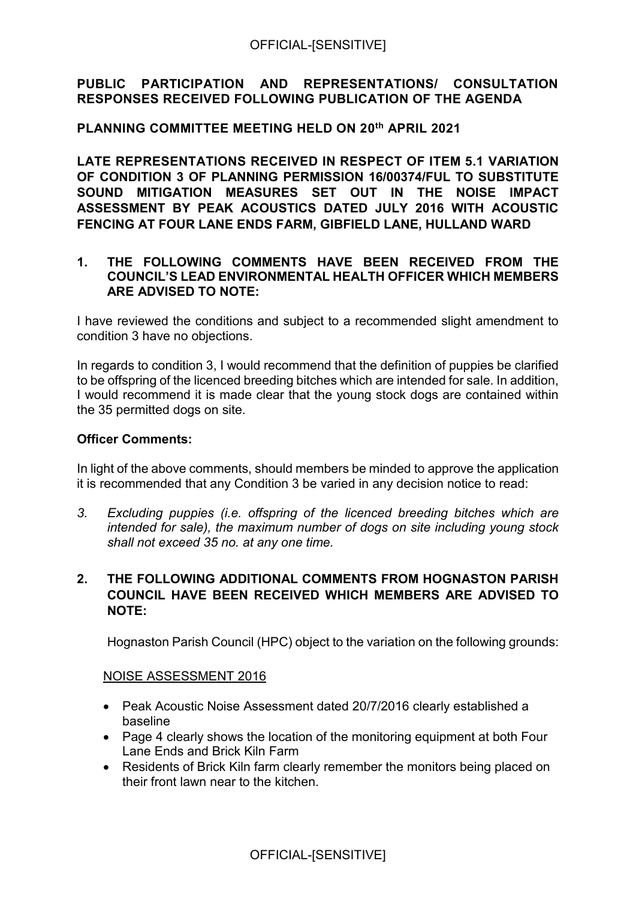### **PUBLIC PARTICIPATION AND REPRESENTATIONS/ CONSULTATION RESPONSES RECEIVED FOLLOWING PUBLICATION OF THE AGENDA**

### **PLANNING COMMITTEE MEETING HELD ON 20 th APRIL 2021**

**LATE REPRESENTATIONS RECEIVED IN RESPECT OF ITEM 5.1 VARIATION OF CONDITION 3 OF PLANNING PERMISSION 16/00374/FUL TO SUBSTITUTE SOUND MITIGATION MEASURES SET OUT IN THE NOISE IMPACT ASSESSMENT BY PEAK ACOUSTICS DATED JULY 2016 WITH ACOUSTIC FENCING AT FOUR LANE ENDS FARM, GIBFIELD LANE, HULLAND WARD** 

### **1. THE FOLLOWING COMMENTS HAVE BEEN RECEIVED FROM THE COUNCIL'S LEAD ENVIRONMENTAL HEALTH OFFICER WHICH MEMBERS ARE ADVISED TO NOTE:**

I have reviewed the conditions and subject to a recommended slight amendment to condition 3 have no objections.

In regards to condition 3, I would recommend that the definition of puppies be clarified to be offspring of the licenced breeding bitches which are intended for sale. In addition, I would recommend it is made clear that the young stock dogs are contained within the 35 permitted dogs on site.

### **Officer Comments:**

In light of the above comments, should members be minded to approve the application it is recommended that any Condition 3 be varied in any decision notice to read:

*3. Excluding puppies (i.e. offspring of the licenced breeding bitches which are intended for sale), the maximum number of dogs on site including young stock shall not exceed 35 no. at any one time.* 

## **2. THE FOLLOWING ADDITIONAL COMMENTS FROM HOGNASTON PARISH COUNCIL HAVE BEEN RECEIVED WHICH MEMBERS ARE ADVISED TO NOTE:**

Hognaston Parish Council (HPC) object to the variation on the following grounds:

### NOISE ASSESSMENT 2016

- Peak Acoustic Noise Assessment dated 20/7/2016 clearly established a baseline
- Page 4 clearly shows the location of the monitoring equipment at both Four Lane Ends and Brick Kiln Farm
- Residents of Brick Kiln farm clearly remember the monitors being placed on their front lawn near to the kitchen.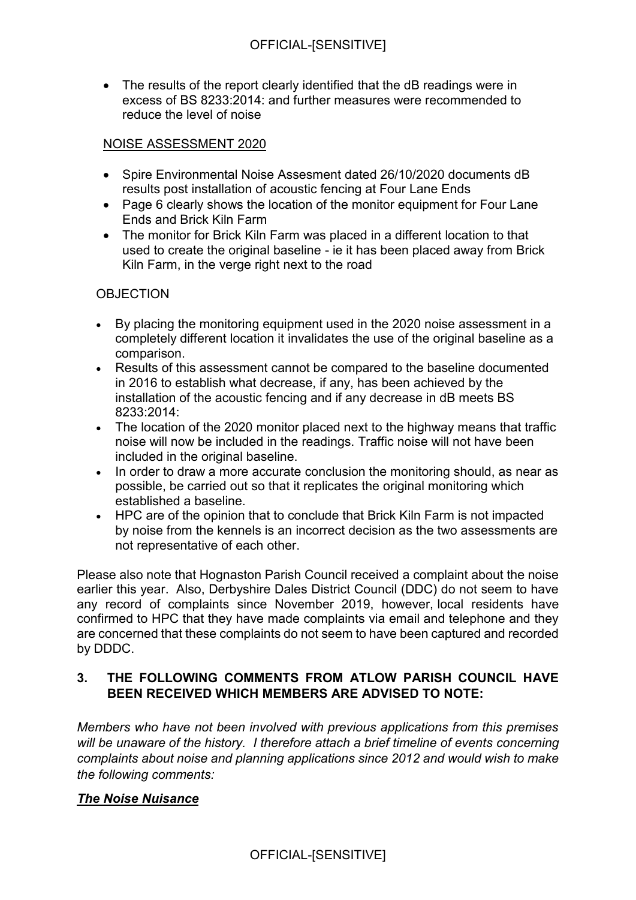• The results of the report clearly identified that the dB readings were in excess of BS 8233:2014: and further measures were recommended to reduce the level of noise

## NOISE ASSESSMENT 2020

- Spire Environmental Noise Assesment dated 26/10/2020 documents dB results post installation of acoustic fencing at Four Lane Ends
- Page 6 clearly shows the location of the monitor equipment for Four Lane Ends and Brick Kiln Farm
- The monitor for Brick Kiln Farm was placed in a different location to that used to create the original baseline - ie it has been placed away from Brick Kiln Farm, in the verge right next to the road

## **OBJECTION**

- By placing the monitoring equipment used in the 2020 noise assessment in a completely different location it invalidates the use of the original baseline as a comparison.
- Results of this assessment cannot be compared to the baseline documented in 2016 to establish what decrease, if any, has been achieved by the installation of the acoustic fencing and if any decrease in dB meets BS 8233:2014:
- The location of the 2020 monitor placed next to the highway means that traffic noise will now be included in the readings. Traffic noise will not have been included in the original baseline.
- In order to draw a more accurate conclusion the monitoring should, as near as possible, be carried out so that it replicates the original monitoring which established a baseline.
- HPC are of the opinion that to conclude that Brick Kiln Farm is not impacted by noise from the kennels is an incorrect decision as the two assessments are not representative of each other.

Please also note that Hognaston Parish Council received a complaint about the noise earlier this year. Also, Derbyshire Dales District Council (DDC) do not seem to have any record of complaints since November 2019, however, local residents have confirmed to HPC that they have made complaints via email and telephone and they are concerned that these complaints do not seem to have been captured and recorded by DDDC.

# **3. THE FOLLOWING COMMENTS FROM ATLOW PARISH COUNCIL HAVE BEEN RECEIVED WHICH MEMBERS ARE ADVISED TO NOTE:**

*Members who have not been involved with previous applications from this premises will be unaware of the history. I therefore attach a brief timeline of events concerning complaints about noise and planning applications since 2012 and would wish to make the following comments:*

## *The Noise Nuisance*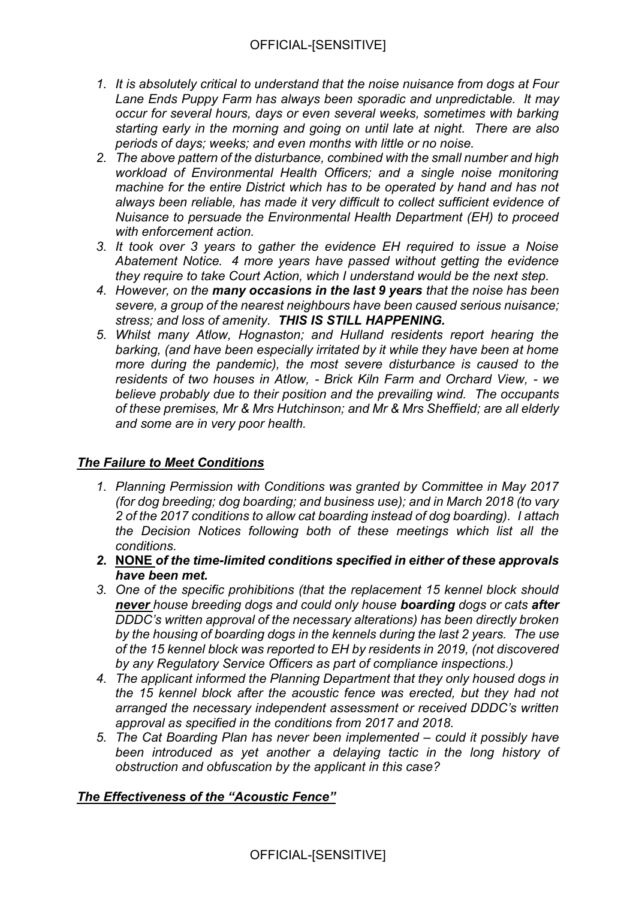- *1. It is absolutely critical to understand that the noise nuisance from dogs at Four Lane Ends Puppy Farm has always been sporadic and unpredictable. It may occur for several hours, days or even several weeks, sometimes with barking starting early in the morning and going on until late at night. There are also periods of days; weeks; and even months with little or no noise.*
- *2. The above pattern of the disturbance, combined with the small number and high workload of Environmental Health Officers; and a single noise monitoring machine for the entire District which has to be operated by hand and has not always been reliable, has made it very difficult to collect sufficient evidence of Nuisance to persuade the Environmental Health Department (EH) to proceed with enforcement action.*
- *3. It took over 3 years to gather the evidence EH required to issue a Noise Abatement Notice. 4 more years have passed without getting the evidence they require to take Court Action, which I understand would be the next step.*
- *4. However, on the many occasions in the last 9 years that the noise has been severe, a group of the nearest neighbours have been caused serious nuisance; stress; and loss of amenity. THIS IS STILL HAPPENING.*
- *5. Whilst many Atlow, Hognaston; and Hulland residents report hearing the barking, (and have been especially irritated by it while they have been at home more during the pandemic), the most severe disturbance is caused to the residents of two houses in Atlow, - Brick Kiln Farm and Orchard View, - we believe probably due to their position and the prevailing wind. The occupants of these premises, Mr & Mrs Hutchinson; and Mr & Mrs Sheffield; are all elderly and some are in very poor health.*

# *The Failure to Meet Conditions*

- *1. Planning Permission with Conditions was granted by Committee in May 2017 (for dog breeding; dog boarding; and business use); and in March 2018 (to vary 2 of the 2017 conditions to allow cat boarding instead of dog boarding). I attach the Decision Notices following both of these meetings which list all the conditions.*
- *2.* **NONE** *of the time-limited conditions specified in either of these approvals have been met.*
- *3. One of the specific prohibitions (that the replacement 15 kennel block should never house breeding dogs and could only house boarding dogs or cats after DDDC's written approval of the necessary alterations) has been directly broken by the housing of boarding dogs in the kennels during the last 2 years. The use of the 15 kennel block was reported to EH by residents in 2019, (not discovered by any Regulatory Service Officers as part of compliance inspections.)*
- *4. The applicant informed the Planning Department that they only housed dogs in the 15 kennel block after the acoustic fence was erected, but they had not arranged the necessary independent assessment or received DDDC's written approval as specified in the conditions from 2017 and 2018.*
- *5. The Cat Boarding Plan has never been implemented – could it possibly have been introduced as yet another a delaying tactic in the long history of obstruction and obfuscation by the applicant in this case?*

## *The Effectiveness of the "Acoustic Fence"*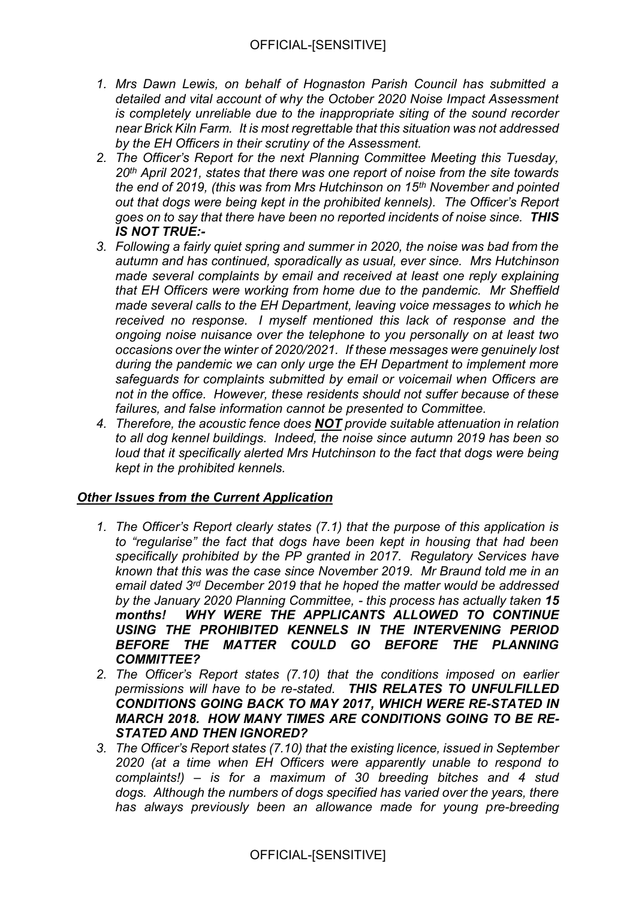- *1. Mrs Dawn Lewis, on behalf of Hognaston Parish Council has submitted a detailed and vital account of why the October 2020 Noise Impact Assessment is completely unreliable due to the inappropriate siting of the sound recorder near Brick Kiln Farm. It is most regrettable that this situation was not addressed by the EH Officers in their scrutiny of the Assessment.*
- *2. The Officer's Report for the next Planning Committee Meeting this Tuesday, 20th April 2021, states that there was one report of noise from the site towards the end of 2019, (this was from Mrs Hutchinson on 15th November and pointed out that dogs were being kept in the prohibited kennels). The Officer's Report goes on to say that there have been no reported incidents of noise since. THIS IS NOT TRUE:-*
- *3. Following a fairly quiet spring and summer in 2020, the noise was bad from the autumn and has continued, sporadically as usual, ever since. Mrs Hutchinson made several complaints by email and received at least one reply explaining that EH Officers were working from home due to the pandemic. Mr Sheffield made several calls to the EH Department, leaving voice messages to which he received no response. I myself mentioned this lack of response and the ongoing noise nuisance over the telephone to you personally on at least two occasions over the winter of 2020/2021. If these messages were genuinely lost during the pandemic we can only urge the EH Department to implement more safeguards for complaints submitted by email or voicemail when Officers are not in the office. However, these residents should not suffer because of these failures, and false information cannot be presented to Committee.*
- *4. Therefore, the acoustic fence does NOT provide suitable attenuation in relation to all dog kennel buildings. Indeed, the noise since autumn 2019 has been so loud that it specifically alerted Mrs Hutchinson to the fact that dogs were being kept in the prohibited kennels.*

## *Other Issues from the Current Application*

- *1. The Officer's Report clearly states (7.1) that the purpose of this application is to "regularise" the fact that dogs have been kept in housing that had been specifically prohibited by the PP granted in 2017. Regulatory Services have known that this was the case since November 2019. Mr Braund told me in an email dated 3rd December 2019 that he hoped the matter would be addressed by the January 2020 Planning Committee, - this process has actually taken 15 months! WHY WERE THE APPLICANTS ALLOWED TO CONTINUE USING THE PROHIBITED KENNELS IN THE INTERVENING PERIOD BEFORE THE MATTER COULD GO BEFORE THE PLANNING COMMITTEE?*
- *2. The Officer's Report states (7.10) that the conditions imposed on earlier permissions will have to be re-stated. THIS RELATES TO UNFULFILLED CONDITIONS GOING BACK TO MAY 2017, WHICH WERE RE-STATED IN MARCH 2018. HOW MANY TIMES ARE CONDITIONS GOING TO BE RE-STATED AND THEN IGNORED?*
- *3. The Officer's Report states (7.10) that the existing licence, issued in September 2020 (at a time when EH Officers were apparently unable to respond to complaints!) – is for a maximum of 30 breeding bitches and 4 stud dogs. Although the numbers of dogs specified has varied over the years, there has always previously been an allowance made for young pre-breeding*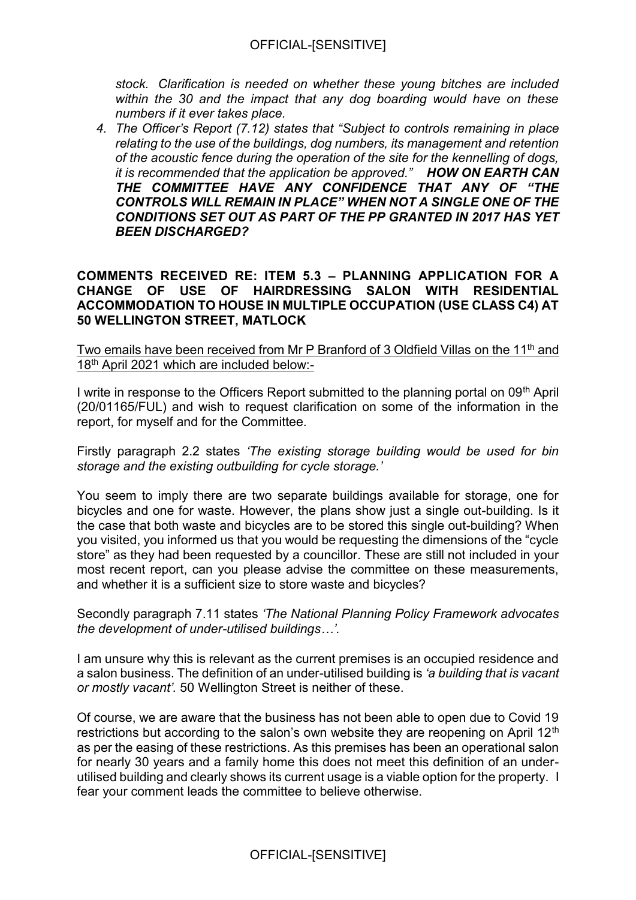*stock. Clarification is needed on whether these young bitches are included within the 30 and the impact that any dog boarding would have on these numbers if it ever takes place.*

*4. The Officer's Report (7.12) states that "Subject to controls remaining in place relating to the use of the buildings, dog numbers, its management and retention of the acoustic fence during the operation of the site for the kennelling of dogs, it is recommended that the application be approved." HOW ON EARTH CAN THE COMMITTEE HAVE ANY CONFIDENCE THAT ANY OF "THE CONTROLS WILL REMAIN IN PLACE" WHEN NOT A SINGLE ONE OF THE CONDITIONS SET OUT AS PART OF THE PP GRANTED IN 2017 HAS YET BEEN DISCHARGED?*

**COMMENTS RECEIVED RE: ITEM 5.3 – PLANNING APPLICATION FOR A CHANGE OF USE OF HAIRDRESSING SALON WITH RESIDENTIAL ACCOMMODATION TO HOUSE IN MULTIPLE OCCUPATION (USE CLASS C4) AT 50 WELLINGTON STREET, MATLOCK**

Two emails have been received from Mr P Branford of 3 Oldfield Villas on the 11<sup>th</sup> and 18<sup>th</sup> April 2021 which are included below:-

I write in response to the Officers Report submitted to the planning portal on 09th April (20/01165/FUL) and wish to request clarification on some of the information in the report, for myself and for the Committee.

Firstly paragraph 2.2 states *'The existing storage building would be used for bin storage and the existing outbuilding for cycle storage.'* 

You seem to imply there are two separate buildings available for storage, one for bicycles and one for waste. However, the plans show just a single out-building. Is it the case that both waste and bicycles are to be stored this single out-building? When you visited, you informed us that you would be requesting the dimensions of the "cycle store" as they had been requested by a councillor. These are still not included in your most recent report, can you please advise the committee on these measurements, and whether it is a sufficient size to store waste and bicycles?

Secondly paragraph 7.11 states *'The National Planning Policy Framework advocates the development of under-utilised buildings…'.*

I am unsure why this is relevant as the current premises is an occupied residence and a salon business. The definition of an under-utilised building is *'a building that is vacant or mostly vacant'.* 50 Wellington Street is neither of these.

Of course, we are aware that the business has not been able to open due to Covid 19 restrictions but according to the salon's own website they are reopening on April 12<sup>th</sup> as per the easing of these restrictions. As this premises has been an operational salon for nearly 30 years and a family home this does not meet this definition of an underutilised building and clearly shows its current usage is a viable option for the property. I fear your comment leads the committee to believe otherwise.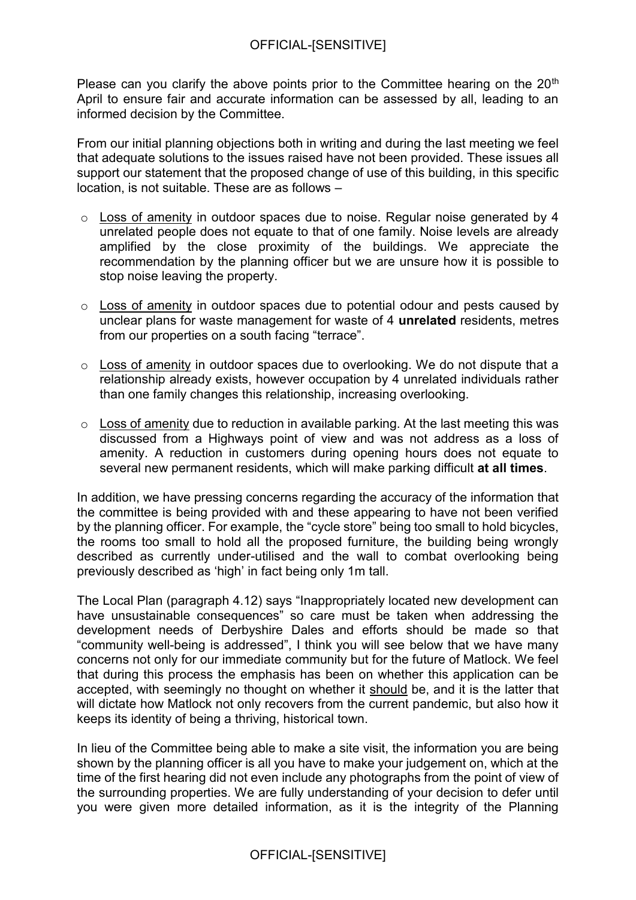Please can you clarify the above points prior to the Committee hearing on the  $20<sup>th</sup>$ April to ensure fair and accurate information can be assessed by all, leading to an informed decision by the Committee.

From our initial planning objections both in writing and during the last meeting we feel that adequate solutions to the issues raised have not been provided. These issues all support our statement that the proposed change of use of this building, in this specific location, is not suitable. These are as follows –

- o Loss of amenity in outdoor spaces due to noise. Regular noise generated by 4 unrelated people does not equate to that of one family. Noise levels are already amplified by the close proximity of the buildings. We appreciate the recommendation by the planning officer but we are unsure how it is possible to stop noise leaving the property.
- o Loss of amenity in outdoor spaces due to potential odour and pests caused by unclear plans for waste management for waste of 4 **unrelated** residents, metres from our properties on a south facing "terrace".
- o Loss of amenity in outdoor spaces due to overlooking. We do not dispute that a relationship already exists, however occupation by 4 unrelated individuals rather than one family changes this relationship, increasing overlooking.
- $\circ$  Loss of amenity due to reduction in available parking. At the last meeting this was discussed from a Highways point of view and was not address as a loss of amenity. A reduction in customers during opening hours does not equate to several new permanent residents, which will make parking difficult **at all times**.

In addition, we have pressing concerns regarding the accuracy of the information that the committee is being provided with and these appearing to have not been verified by the planning officer. For example, the "cycle store" being too small to hold bicycles, the rooms too small to hold all the proposed furniture, the building being wrongly described as currently under-utilised and the wall to combat overlooking being previously described as 'high' in fact being only 1m tall.

The Local Plan (paragraph 4.12) says "Inappropriately located new development can have unsustainable consequences" so care must be taken when addressing the development needs of Derbyshire Dales and efforts should be made so that "community well-being is addressed", I think you will see below that we have many concerns not only for our immediate community but for the future of Matlock. We feel that during this process the emphasis has been on whether this application can be accepted, with seemingly no thought on whether it should be, and it is the latter that will dictate how Matlock not only recovers from the current pandemic, but also how it keeps its identity of being a thriving, historical town.

In lieu of the Committee being able to make a site visit, the information you are being shown by the planning officer is all you have to make your judgement on, which at the time of the first hearing did not even include any photographs from the point of view of the surrounding properties. We are fully understanding of your decision to defer until you were given more detailed information, as it is the integrity of the Planning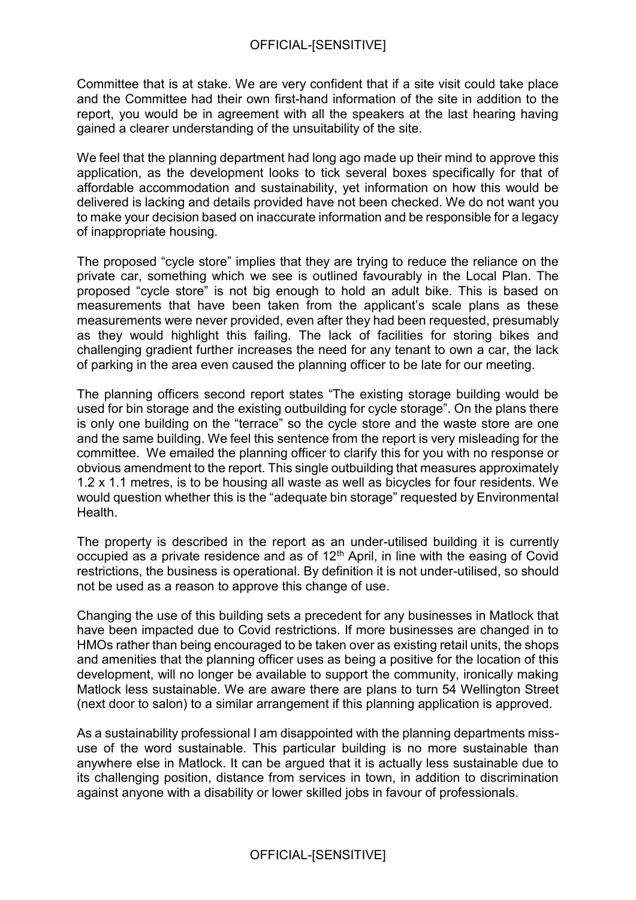Committee that is at stake. We are very confident that if a site visit could take place and the Committee had their own first-hand information of the site in addition to the report, you would be in agreement with all the speakers at the last hearing having gained a clearer understanding of the unsuitability of the site.

We feel that the planning department had long ago made up their mind to approve this application, as the development looks to tick several boxes specifically for that of affordable accommodation and sustainability, yet information on how this would be delivered is lacking and details provided have not been checked. We do not want you to make your decision based on inaccurate information and be responsible for a legacy of inappropriate housing.

The proposed "cycle store" implies that they are trying to reduce the reliance on the private car, something which we see is outlined favourably in the Local Plan. The proposed "cycle store" is not big enough to hold an adult bike. This is based on measurements that have been taken from the applicant's scale plans as these measurements were never provided, even after they had been requested, presumably as they would highlight this failing. The lack of facilities for storing bikes and challenging gradient further increases the need for any tenant to own a car, the lack of parking in the area even caused the planning officer to be late for our meeting.

The planning officers second report states "The existing storage building would be used for bin storage and the existing outbuilding for cycle storage". On the plans there is only one building on the "terrace" so the cycle store and the waste store are one and the same building. We feel this sentence from the report is very misleading for the committee. We emailed the planning officer to clarify this for you with no response or obvious amendment to the report. This single outbuilding that measures approximately 1.2 x 1.1 metres, is to be housing all waste as well as bicycles for four residents. We would question whether this is the "adequate bin storage" requested by Environmental Health.

The property is described in the report as an under-utilised building it is currently occupied as a private residence and as of  $12<sup>th</sup>$  April, in line with the easing of Covid restrictions, the business is operational. By definition it is not under-utilised, so should not be used as a reason to approve this change of use.

Changing the use of this building sets a precedent for any businesses in Matlock that have been impacted due to Covid restrictions. If more businesses are changed in to HMOs rather than being encouraged to be taken over as existing retail units, the shops and amenities that the planning officer uses as being a positive for the location of this development, will no longer be available to support the community, ironically making Matlock less sustainable. We are aware there are plans to turn 54 Wellington Street (next door to salon) to a similar arrangement if this planning application is approved.

As a sustainability professional I am disappointed with the planning departments missuse of the word sustainable. This particular building is no more sustainable than anywhere else in Matlock. It can be argued that it is actually less sustainable due to its challenging position, distance from services in town, in addition to discrimination against anyone with a disability or lower skilled jobs in favour of professionals.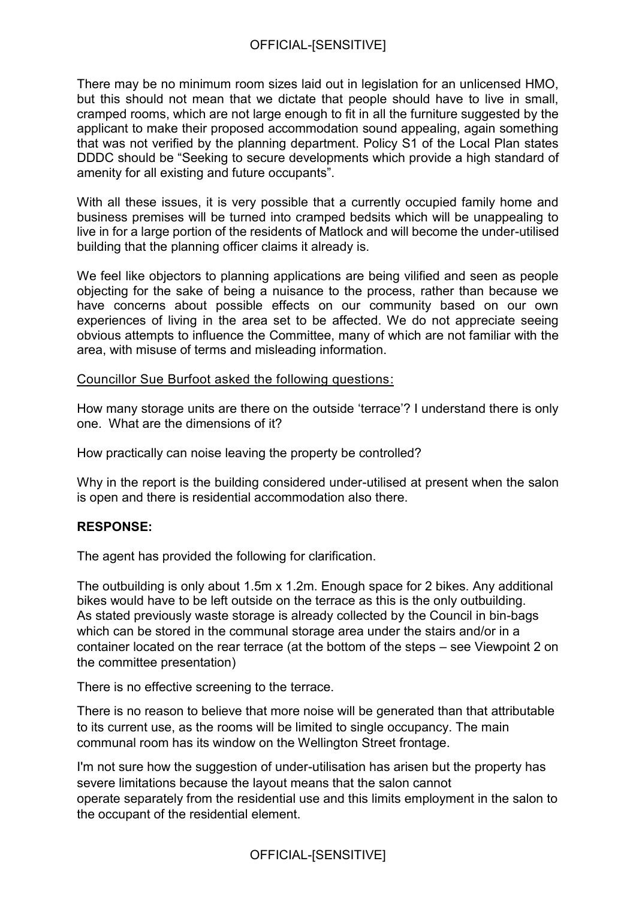There may be no minimum room sizes laid out in legislation for an unlicensed HMO, but this should not mean that we dictate that people should have to live in small, cramped rooms, which are not large enough to fit in all the furniture suggested by the applicant to make their proposed accommodation sound appealing, again something that was not verified by the planning department. Policy S1 of the Local Plan states DDDC should be "Seeking to secure developments which provide a high standard of amenity for all existing and future occupants".

With all these issues, it is very possible that a currently occupied family home and business premises will be turned into cramped bedsits which will be unappealing to live in for a large portion of the residents of Matlock and will become the under-utilised building that the planning officer claims it already is.

We feel like objectors to planning applications are being vilified and seen as people objecting for the sake of being a nuisance to the process, rather than because we have concerns about possible effects on our community based on our own experiences of living in the area set to be affected. We do not appreciate seeing obvious attempts to influence the Committee, many of which are not familiar with the area, with misuse of terms and misleading information.

Councillor Sue Burfoot asked the following questions:

How many storage units are there on the outside 'terrace'? I understand there is only one. What are the dimensions of it?

How practically can noise leaving the property be controlled?

Why in the report is the building considered under-utilised at present when the salon is open and there is residential accommodation also there.

## **RESPONSE:**

The agent has provided the following for clarification.

The outbuilding is only about 1.5m x 1.2m. Enough space for 2 bikes. Any additional bikes would have to be left outside on the terrace as this is the only outbuilding. As stated previously waste storage is already collected by the Council in bin-bags which can be stored in the communal storage area under the stairs and/or in a container located on the rear terrace (at the bottom of the steps – see Viewpoint 2 on the committee presentation)

There is no effective screening to the terrace.

There is no reason to believe that more noise will be generated than that attributable to its current use, as the rooms will be limited to single occupancy. The main communal room has its window on the Wellington Street frontage.

I'm not sure how the suggestion of under-utilisation has arisen but the property has severe limitations because the layout means that the salon cannot operate separately from the residential use and this limits employment in the salon to the occupant of the residential element.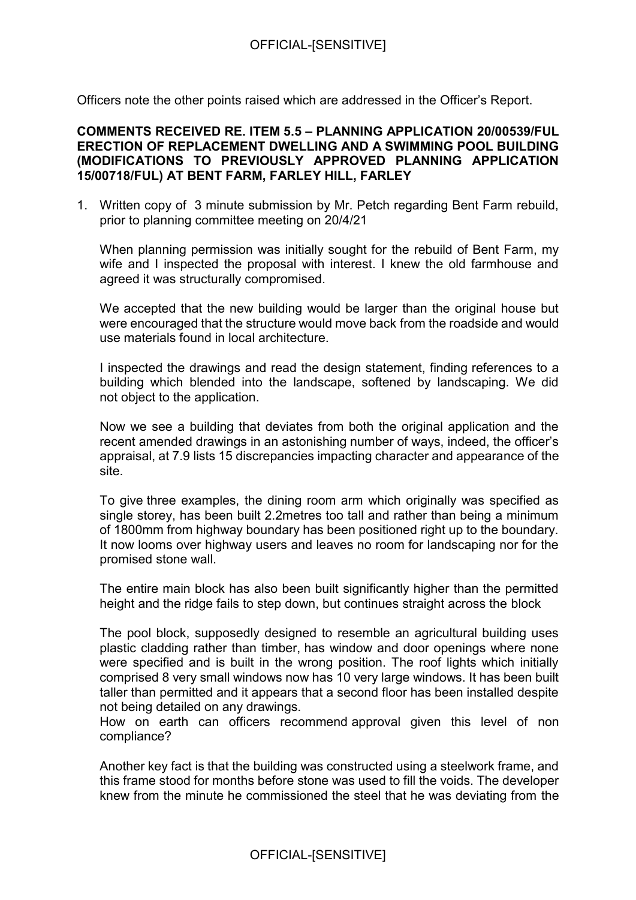Officers note the other points raised which are addressed in the Officer's Report.

### **COMMENTS RECEIVED RE. ITEM 5.5 – PLANNING APPLICATION 20/00539/FUL ERECTION OF REPLACEMENT DWELLING AND A SWIMMING POOL BUILDING (MODIFICATIONS TO PREVIOUSLY APPROVED PLANNING APPLICATION 15/00718/FUL) AT BENT FARM, FARLEY HILL, FARLEY**

1. Written copy of 3 minute submission by Mr. Petch regarding Bent Farm rebuild, prior to planning committee meeting on 20/4/21

When planning permission was initially sought for the rebuild of Bent Farm, my wife and I inspected the proposal with interest. I knew the old farmhouse and agreed it was structurally compromised.

We accepted that the new building would be larger than the original house but were encouraged that the structure would move back from the roadside and would use materials found in local architecture.

I inspected the drawings and read the design statement, finding references to a building which blended into the landscape, softened by landscaping. We did not object to the application.

Now we see a building that deviates from both the original application and the recent amended drawings in an astonishing number of ways, indeed, the officer's appraisal, at 7.9 lists 15 discrepancies impacting character and appearance of the site.

To give three examples, the dining room arm which originally was specified as single storey, has been built 2.2metres too tall and rather than being a minimum of 1800mm from highway boundary has been positioned right up to the boundary. It now looms over highway users and leaves no room for landscaping nor for the promised stone wall.

The entire main block has also been built significantly higher than the permitted height and the ridge fails to step down, but continues straight across the block

The pool block, supposedly designed to resemble an agricultural building uses plastic cladding rather than timber, has window and door openings where none were specified and is built in the wrong position. The roof lights which initially comprised 8 very small windows now has 10 very large windows. It has been built taller than permitted and it appears that a second floor has been installed despite not being detailed on any drawings.

How on earth can officers recommend approval given this level of non compliance?

Another key fact is that the building was constructed using a steelwork frame, and this frame stood for months before stone was used to fill the voids. The developer knew from the minute he commissioned the steel that he was deviating from the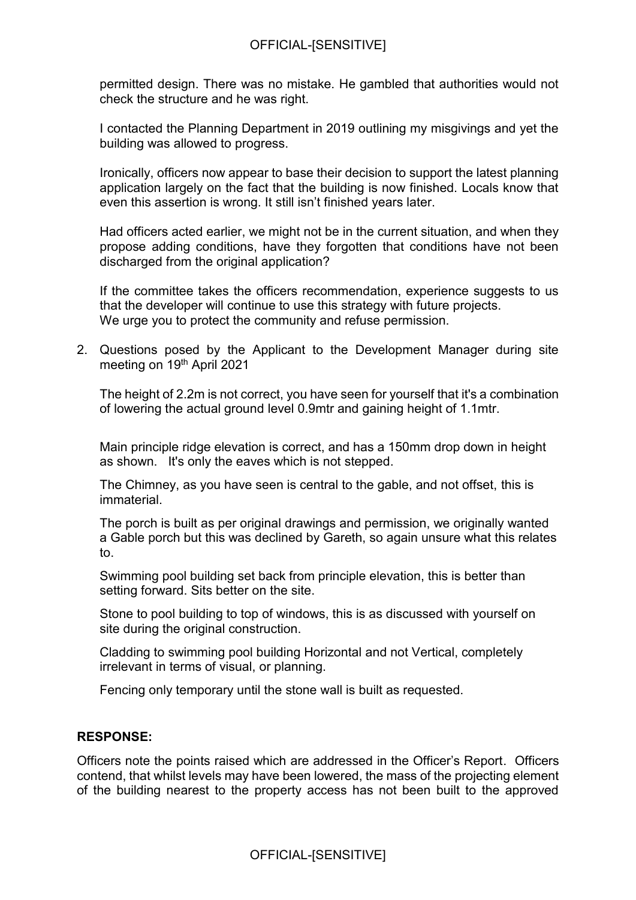### OFFICIAL-[SENSITIVE]

permitted design. There was no mistake. He gambled that authorities would not check the structure and he was right.

I contacted the Planning Department in 2019 outlining my misgivings and yet the building was allowed to progress.

Ironically, officers now appear to base their decision to support the latest planning application largely on the fact that the building is now finished. Locals know that even this assertion is wrong. It still isn't finished years later.

Had officers acted earlier, we might not be in the current situation, and when they propose adding conditions, have they forgotten that conditions have not been discharged from the original application?

If the committee takes the officers recommendation, experience suggests to us that the developer will continue to use this strategy with future projects. We urge you to protect the community and refuse permission.

2. Questions posed by the Applicant to the Development Manager during site meeting on 19th April 2021

The height of 2.2m is not correct, you have seen for yourself that it's a combination of lowering the actual ground level 0.9mtr and gaining height of 1.1mtr.

Main principle ridge elevation is correct, and has a 150mm drop down in height as shown. It's only the eaves which is not stepped.

The Chimney, as you have seen is central to the gable, and not offset, this is immaterial.

The porch is built as per original drawings and permission, we originally wanted a Gable porch but this was declined by Gareth, so again unsure what this relates to.

Swimming pool building set back from principle elevation, this is better than setting forward. Sits better on the site.

Stone to pool building to top of windows, this is as discussed with yourself on site during the original construction.

Cladding to swimming pool building Horizontal and not Vertical, completely irrelevant in terms of visual, or planning.

Fencing only temporary until the stone wall is built as requested.

#### **RESPONSE:**

Officers note the points raised which are addressed in the Officer's Report. Officers contend, that whilst levels may have been lowered, the mass of the projecting element of the building nearest to the property access has not been built to the approved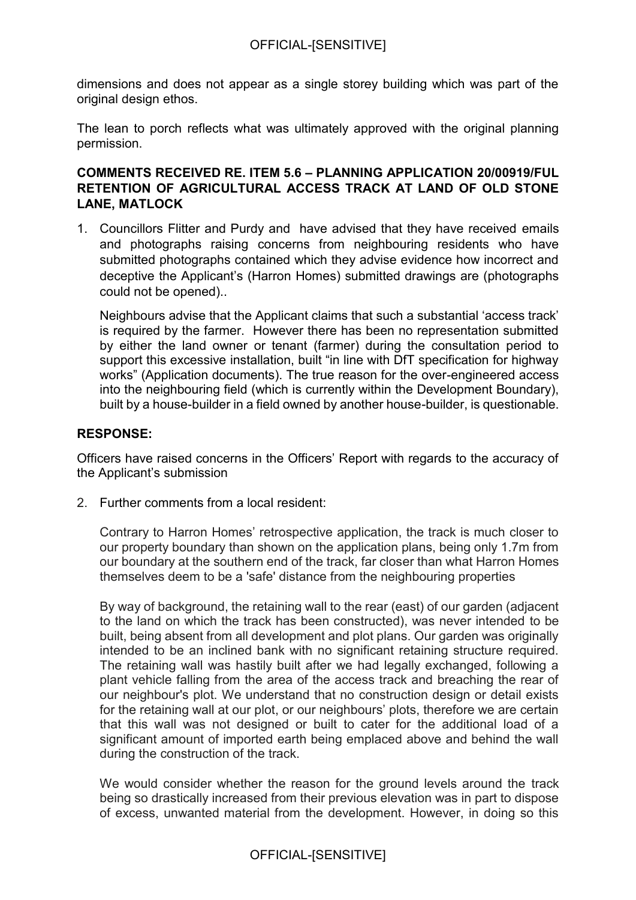dimensions and does not appear as a single storey building which was part of the original design ethos.

The lean to porch reflects what was ultimately approved with the original planning permission.

## **COMMENTS RECEIVED RE. ITEM 5.6 – PLANNING APPLICATION 20/00919/FUL RETENTION OF AGRICULTURAL ACCESS TRACK AT LAND OF OLD STONE LANE, MATLOCK**

1. Councillors Flitter and Purdy and have advised that they have received emails and photographs raising concerns from neighbouring residents who have submitted photographs contained which they advise evidence how incorrect and deceptive the Applicant's (Harron Homes) submitted drawings are (photographs could not be opened)..

Neighbours advise that the Applicant claims that such a substantial 'access track' is required by the farmer. However there has been no representation submitted by either the land owner or tenant (farmer) during the consultation period to support this excessive installation, built "in line with DfT specification for highway works" (Application documents). The true reason for the over-engineered access into the neighbouring field (which is currently within the Development Boundary), built by a house-builder in a field owned by another house-builder, is questionable.

### **RESPONSE:**

Officers have raised concerns in the Officers' Report with regards to the accuracy of the Applicant's submission

2. Further comments from a local resident:

Contrary to Harron Homes' retrospective application, the track is much closer to our property boundary than shown on the application plans, being only 1.7m from our boundary at the southern end of the track, far closer than what Harron Homes themselves deem to be a 'safe' distance from the neighbouring properties

By way of background, the retaining wall to the rear (east) of our garden (adjacent to the land on which the track has been constructed), was never intended to be built, being absent from all development and plot plans. Our garden was originally intended to be an inclined bank with no significant retaining structure required. The retaining wall was hastily built after we had legally exchanged, following a plant vehicle falling from the area of the access track and breaching the rear of our neighbour's plot. We understand that no construction design or detail exists for the retaining wall at our plot, or our neighbours' plots, therefore we are certain that this wall was not designed or built to cater for the additional load of a significant amount of imported earth being emplaced above and behind the wall during the construction of the track.

We would consider whether the reason for the ground levels around the track being so drastically increased from their previous elevation was in part to dispose of excess, unwanted material from the development. However, in doing so this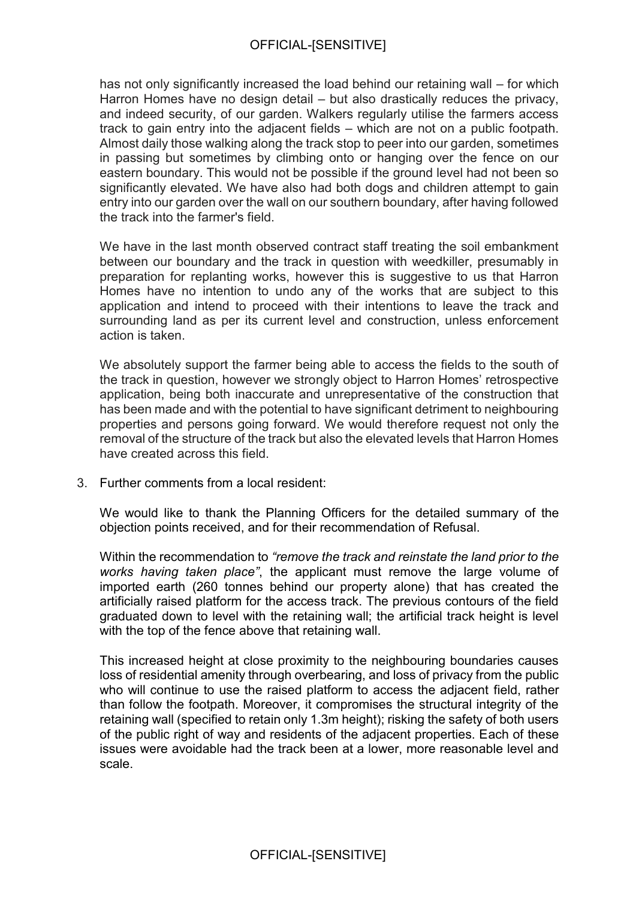has not only significantly increased the load behind our retaining wall – for which Harron Homes have no design detail – but also drastically reduces the privacy, and indeed security, of our garden. Walkers regularly utilise the farmers access track to gain entry into the adjacent fields – which are not on a public footpath. Almost daily those walking along the track stop to peer into our garden, sometimes in passing but sometimes by climbing onto or hanging over the fence on our eastern boundary. This would not be possible if the ground level had not been so significantly elevated. We have also had both dogs and children attempt to gain entry into our garden over the wall on our southern boundary, after having followed the track into the farmer's field.

We have in the last month observed contract staff treating the soil embankment between our boundary and the track in question with weedkiller, presumably in preparation for replanting works, however this is suggestive to us that Harron Homes have no intention to undo any of the works that are subject to this application and intend to proceed with their intentions to leave the track and surrounding land as per its current level and construction, unless enforcement action is taken.

We absolutely support the farmer being able to access the fields to the south of the track in question, however we strongly object to Harron Homes' retrospective application, being both inaccurate and unrepresentative of the construction that has been made and with the potential to have significant detriment to neighbouring properties and persons going forward. We would therefore request not only the removal of the structure of the track but also the elevated levels that Harron Homes have created across this field.

3. Further comments from a local resident:

We would like to thank the Planning Officers for the detailed summary of the objection points received, and for their recommendation of Refusal.

Within the recommendation to *"remove the track and reinstate the land prior to the works having taken place"*, the applicant must remove the large volume of imported earth (260 tonnes behind our property alone) that has created the artificially raised platform for the access track. The previous contours of the field graduated down to level with the retaining wall; the artificial track height is level with the top of the fence above that retaining wall.

This increased height at close proximity to the neighbouring boundaries causes loss of residential amenity through overbearing, and loss of privacy from the public who will continue to use the raised platform to access the adjacent field, rather than follow the footpath. Moreover, it compromises the structural integrity of the retaining wall (specified to retain only 1.3m height); risking the safety of both users of the public right of way and residents of the adjacent properties. Each of these issues were avoidable had the track been at a lower, more reasonable level and scale.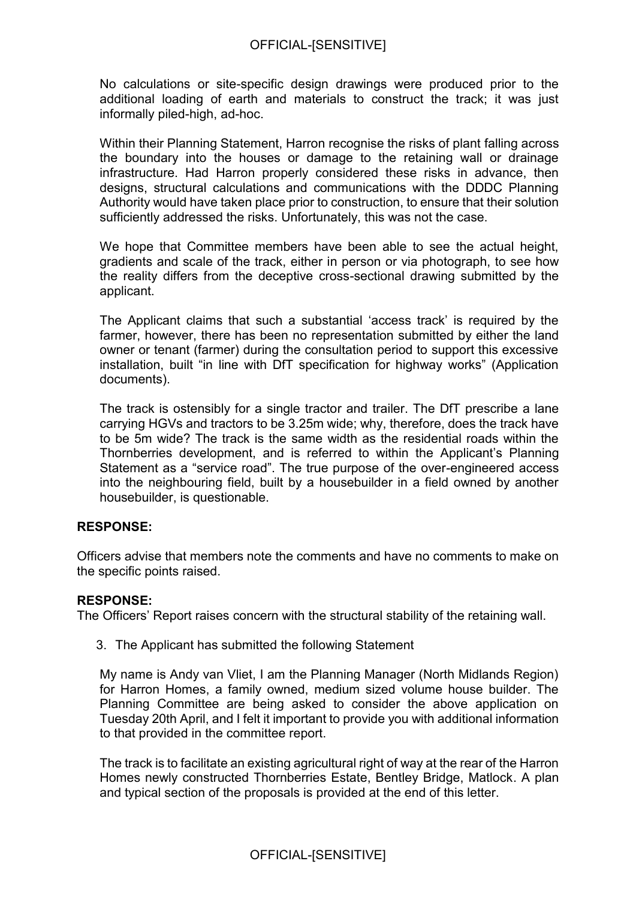No calculations or site-specific design drawings were produced prior to the additional loading of earth and materials to construct the track; it was just informally piled-high, ad-hoc.

Within their Planning Statement, Harron recognise the risks of plant falling across the boundary into the houses or damage to the retaining wall or drainage infrastructure. Had Harron properly considered these risks in advance, then designs, structural calculations and communications with the DDDC Planning Authority would have taken place prior to construction, to ensure that their solution sufficiently addressed the risks. Unfortunately, this was not the case.

We hope that Committee members have been able to see the actual height, gradients and scale of the track, either in person or via photograph, to see how the reality differs from the deceptive cross-sectional drawing submitted by the applicant.

The Applicant claims that such a substantial 'access track' is required by the farmer, however, there has been no representation submitted by either the land owner or tenant (farmer) during the consultation period to support this excessive installation, built "in line with DfT specification for highway works" (Application documents).

The track is ostensibly for a single tractor and trailer. The DfT prescribe a lane carrying HGVs and tractors to be 3.25m wide; why, therefore, does the track have to be 5m wide? The track is the same width as the residential roads within the Thornberries development, and is referred to within the Applicant's Planning Statement as a "service road". The true purpose of the over-engineered access into the neighbouring field, built by a housebuilder in a field owned by another housebuilder, is questionable.

### **RESPONSE:**

Officers advise that members note the comments and have no comments to make on the specific points raised.

#### **RESPONSE:**

The Officers' Report raises concern with the structural stability of the retaining wall.

3. The Applicant has submitted the following Statement

My name is Andy van Vliet, I am the Planning Manager (North Midlands Region) for Harron Homes, a family owned, medium sized volume house builder. The Planning Committee are being asked to consider the above application on Tuesday 20th April, and I felt it important to provide you with additional information to that provided in the committee report.

The track is to facilitate an existing agricultural right of way at the rear of the Harron Homes newly constructed Thornberries Estate, Bentley Bridge, Matlock. A plan and typical section of the proposals is provided at the end of this letter.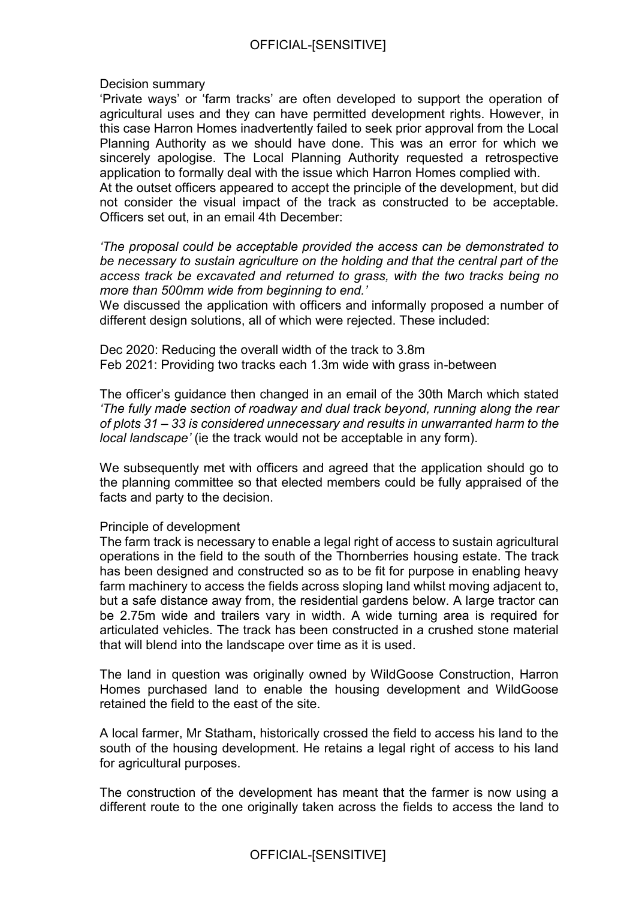Decision summary

'Private ways' or 'farm tracks' are often developed to support the operation of agricultural uses and they can have permitted development rights. However, in this case Harron Homes inadvertently failed to seek prior approval from the Local Planning Authority as we should have done. This was an error for which we sincerely apologise. The Local Planning Authority requested a retrospective application to formally deal with the issue which Harron Homes complied with. At the outset officers appeared to accept the principle of the development, but did

not consider the visual impact of the track as constructed to be acceptable. Officers set out, in an email 4th December:

*'The proposal could be acceptable provided the access can be demonstrated to be necessary to sustain agriculture on the holding and that the central part of the access track be excavated and returned to grass, with the two tracks being no more than 500mm wide from beginning to end.'* 

We discussed the application with officers and informally proposed a number of different design solutions, all of which were rejected. These included:

Dec 2020: Reducing the overall width of the track to 3.8m Feb 2021: Providing two tracks each 1.3m wide with grass in-between

The officer's guidance then changed in an email of the 30th March which stated *'The fully made section of roadway and dual track beyond, running along the rear of plots 31 – 33 is considered unnecessary and results in unwarranted harm to the local landscape'* (ie the track would not be acceptable in any form).

We subsequently met with officers and agreed that the application should go to the planning committee so that elected members could be fully appraised of the facts and party to the decision.

### Principle of development

The farm track is necessary to enable a legal right of access to sustain agricultural operations in the field to the south of the Thornberries housing estate. The track has been designed and constructed so as to be fit for purpose in enabling heavy farm machinery to access the fields across sloping land whilst moving adjacent to, but a safe distance away from, the residential gardens below. A large tractor can be 2.75m wide and trailers vary in width. A wide turning area is required for articulated vehicles. The track has been constructed in a crushed stone material that will blend into the landscape over time as it is used.

The land in question was originally owned by WildGoose Construction, Harron Homes purchased land to enable the housing development and WildGoose retained the field to the east of the site.

A local farmer, Mr Statham, historically crossed the field to access his land to the south of the housing development. He retains a legal right of access to his land for agricultural purposes.

The construction of the development has meant that the farmer is now using a different route to the one originally taken across the fields to access the land to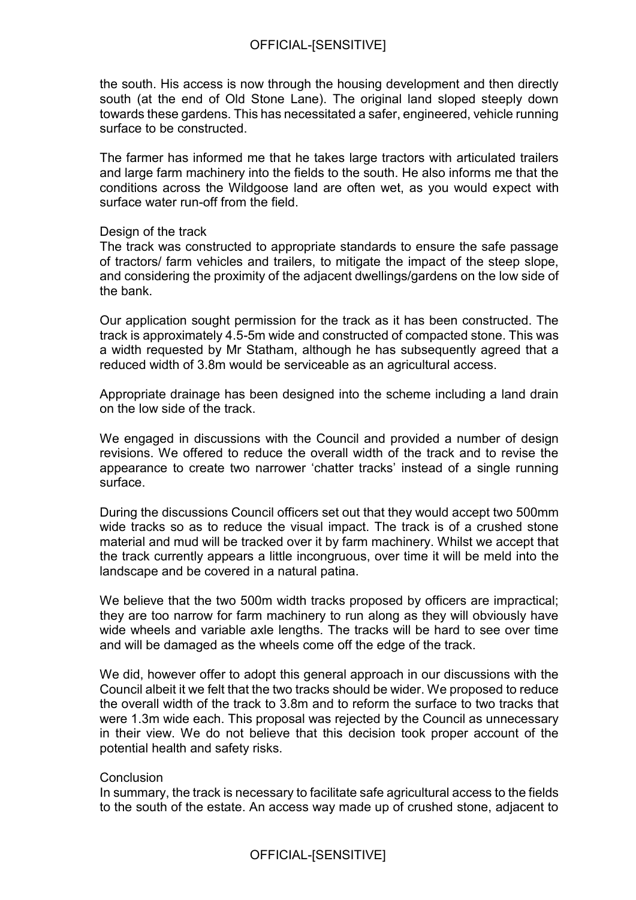the south. His access is now through the housing development and then directly south (at the end of Old Stone Lane). The original land sloped steeply down towards these gardens. This has necessitated a safer, engineered, vehicle running surface to be constructed.

The farmer has informed me that he takes large tractors with articulated trailers and large farm machinery into the fields to the south. He also informs me that the conditions across the Wildgoose land are often wet, as you would expect with surface water run-off from the field.

#### Design of the track

The track was constructed to appropriate standards to ensure the safe passage of tractors/ farm vehicles and trailers, to mitigate the impact of the steep slope, and considering the proximity of the adjacent dwellings/gardens on the low side of the bank.

Our application sought permission for the track as it has been constructed. The track is approximately 4.5-5m wide and constructed of compacted stone. This was a width requested by Mr Statham, although he has subsequently agreed that a reduced width of 3.8m would be serviceable as an agricultural access.

Appropriate drainage has been designed into the scheme including a land drain on the low side of the track.

We engaged in discussions with the Council and provided a number of design revisions. We offered to reduce the overall width of the track and to revise the appearance to create two narrower 'chatter tracks' instead of a single running surface.

During the discussions Council officers set out that they would accept two 500mm wide tracks so as to reduce the visual impact. The track is of a crushed stone material and mud will be tracked over it by farm machinery. Whilst we accept that the track currently appears a little incongruous, over time it will be meld into the landscape and be covered in a natural patina.

We believe that the two 500m width tracks proposed by officers are impractical; they are too narrow for farm machinery to run along as they will obviously have wide wheels and variable axle lengths. The tracks will be hard to see over time and will be damaged as the wheels come off the edge of the track.

We did, however offer to adopt this general approach in our discussions with the Council albeit it we felt that the two tracks should be wider. We proposed to reduce the overall width of the track to 3.8m and to reform the surface to two tracks that were 1.3m wide each. This proposal was rejected by the Council as unnecessary in their view. We do not believe that this decision took proper account of the potential health and safety risks.

#### **Conclusion**

In summary, the track is necessary to facilitate safe agricultural access to the fields to the south of the estate. An access way made up of crushed stone, adjacent to